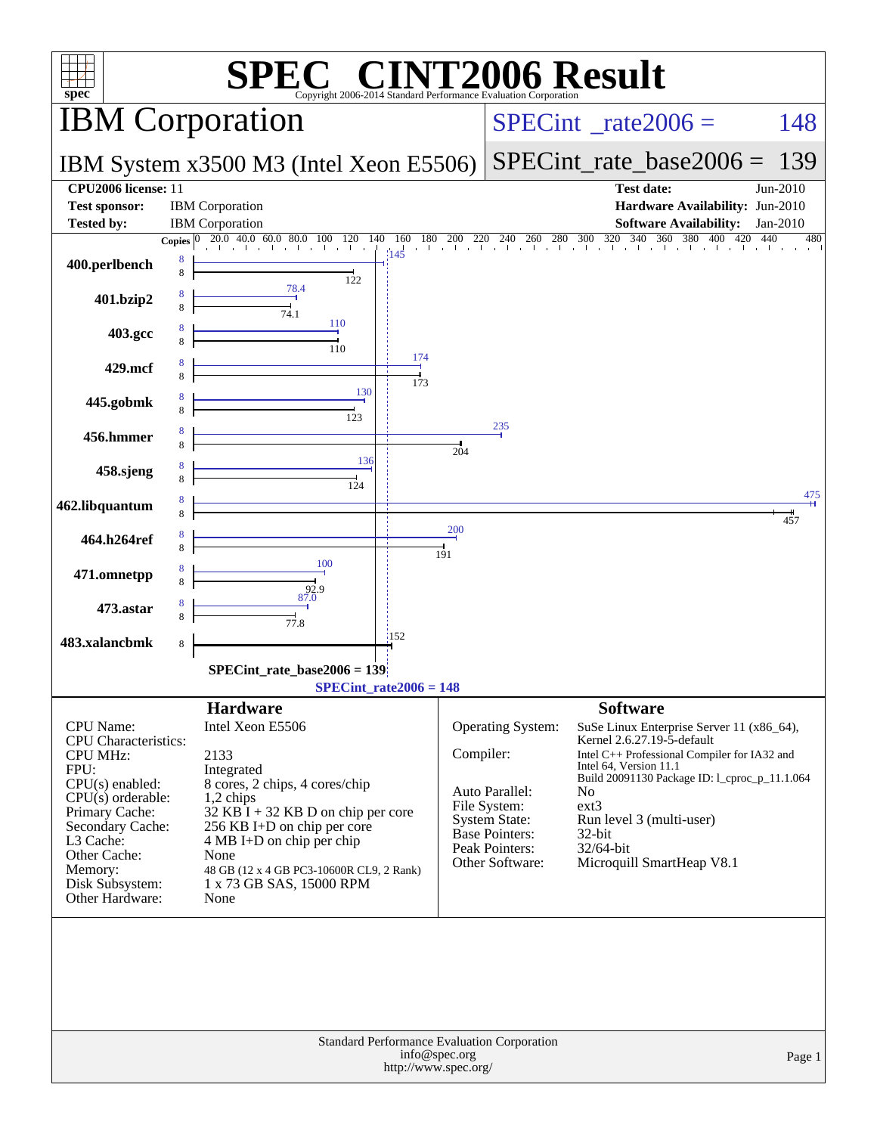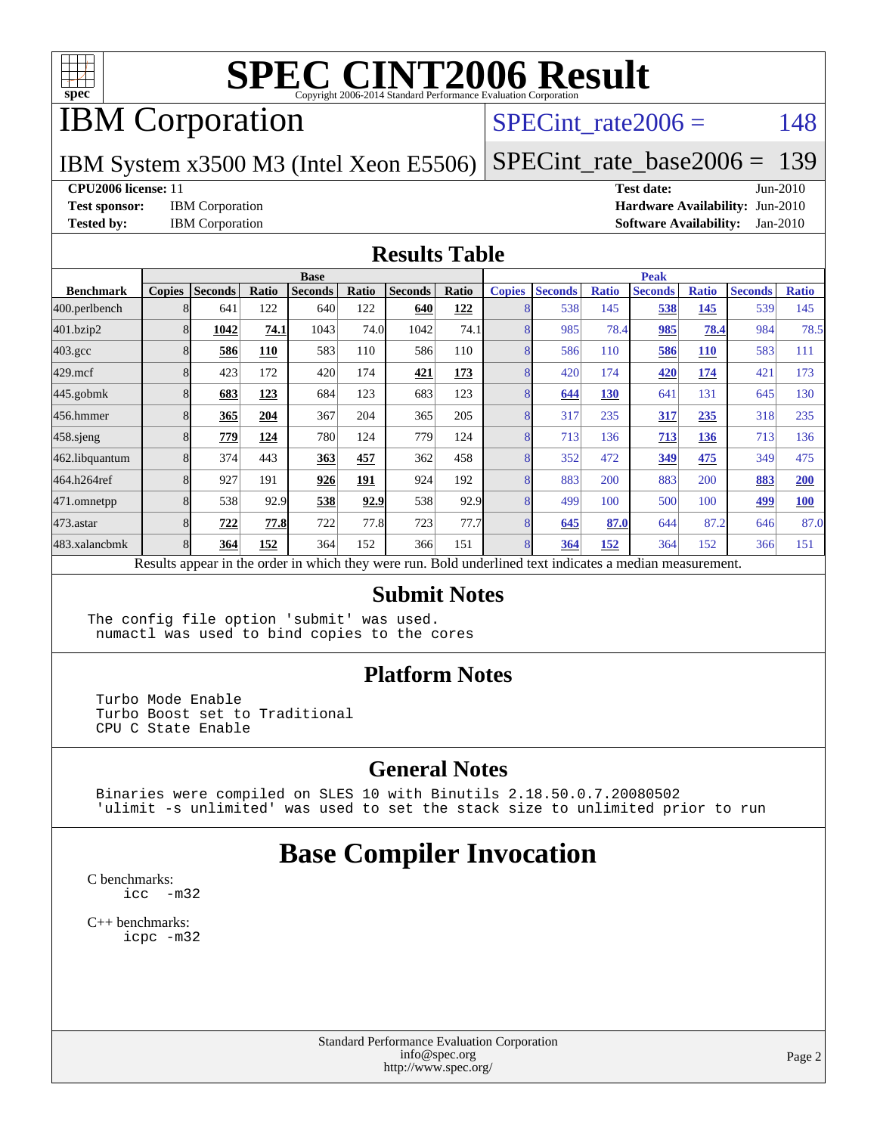

## IBM Corporation

#### SPECint rate $2006 = 148$

#### IBM System x3500 M3 (Intel Xeon E5506) [SPECint\\_rate\\_base2006 =](http://www.spec.org/auto/cpu2006/Docs/result-fields.html#SPECintratebase2006) 139

**[CPU2006 license:](http://www.spec.org/auto/cpu2006/Docs/result-fields.html#CPU2006license)** 11 **[Test date:](http://www.spec.org/auto/cpu2006/Docs/result-fields.html#Testdate)** Jun-2010

**[Test sponsor:](http://www.spec.org/auto/cpu2006/Docs/result-fields.html#Testsponsor)** IBM Corporation **[Hardware Availability:](http://www.spec.org/auto/cpu2006/Docs/result-fields.html#HardwareAvailability)** Jun-2010 **[Tested by:](http://www.spec.org/auto/cpu2006/Docs/result-fields.html#Testedby)** IBM Corporation **[Software Availability:](http://www.spec.org/auto/cpu2006/Docs/result-fields.html#SoftwareAvailability)** Jan-2010

#### **[Results Table](http://www.spec.org/auto/cpu2006/Docs/result-fields.html#ResultsTable)**

|                    | <b>Base</b>   |                |       |                |       |                |       | <b>Peak</b>   |                |              |                                                                                                          |              |                |              |
|--------------------|---------------|----------------|-------|----------------|-------|----------------|-------|---------------|----------------|--------------|----------------------------------------------------------------------------------------------------------|--------------|----------------|--------------|
| <b>Benchmark</b>   | <b>Copies</b> | <b>Seconds</b> | Ratio | <b>Seconds</b> | Ratio | <b>Seconds</b> | Ratio | <b>Copies</b> | <b>Seconds</b> | <b>Ratio</b> | <b>Seconds</b>                                                                                           | <b>Ratio</b> | <b>Seconds</b> | <b>Ratio</b> |
| 400.perlbench      | 8             | 641            | 122   | 640            | 122   | 640            | 122   | 8             | 538            | 145          | 538                                                                                                      | 145          | 539            | 145          |
| 401.bzip2          | 8             | 1042           | 74.1  | 1043           | 74.0  | 1042           | 74.1  | 8             | 985            | 78.4         | 985                                                                                                      | 78.4         | 984            | 78.5         |
| $403.\mathrm{gcc}$ | 8             | 586            | 110   | 583            | 110   | 586            | 110   | 8             | 586            | 110          | 586                                                                                                      | <b>110</b>   | 583            | 111          |
| $429$ .mcf         | 8             | 423            | 172   | 420            | 174   | 421            | 173   | 8             | 420            | 174          | 420                                                                                                      | 174          | 421            | 173          |
| $445$ .gobmk       | 8             | 683            | 123   | 684            | 123   | 683            | 123   |               | 644            | 130          | 641                                                                                                      | 131          | 645            | 130          |
| 456.hmmer          | 8             | 365            | 204   | 367            | 204   | 365            | 205   | 8             | 317            | 235          | 317                                                                                                      | 235          | 318            | 235          |
| $458$ .sjeng       | 8             | 779            | 124   | 780            | 124   | 779            | 124   | 8             | 713            | 136          | 713                                                                                                      | 136          | 713            | 136          |
| 462.libquantum     | 8             | 374            | 443   | 363            | 457   | 362            | 458   | 8             | 352            | 472          | 349                                                                                                      | 475          | 349            | 475          |
| 464.h264ref        | 8             | 927            | 191   | 926            | 191   | 924            | 192   | 8             | 883            | 200          | 883                                                                                                      | 200          | 883            | <b>200</b>   |
| 471.omnetpp        | 8             | 538            | 92.9  | 538            | 92.9  | 538            | 92.9  | 8             | 499            | 100          | 500                                                                                                      | 100          | 499            | <b>100</b>   |
| $473$ . astar      | 8             | 722            | 77.8  | 722            | 77.8  | 723            | 77.7  | 8             | 645            | 87.0         | 644                                                                                                      | 87.2         | 646            | 87.0         |
| 483.xalancbmk      | 8             | 364            | 152   | 364            | 152   | 366            | 151   | 8             | 364            | <u>152</u>   | 364                                                                                                      | 152          | 366            | 151          |
|                    |               |                |       |                |       |                |       |               |                |              | Results appear in the order in which they were run. Bold underlined text indicates a median measurement. |              |                |              |

#### **[Submit Notes](http://www.spec.org/auto/cpu2006/Docs/result-fields.html#SubmitNotes)**

The config file option 'submit' was used. numactl was used to bind copies to the cores

#### **[Platform Notes](http://www.spec.org/auto/cpu2006/Docs/result-fields.html#PlatformNotes)**

 Turbo Mode Enable Turbo Boost set to Traditional CPU C State Enable

#### **[General Notes](http://www.spec.org/auto/cpu2006/Docs/result-fields.html#GeneralNotes)**

 Binaries were compiled on SLES 10 with Binutils 2.18.50.0.7.20080502 'ulimit -s unlimited' was used to set the stack size to unlimited prior to run

### **[Base Compiler Invocation](http://www.spec.org/auto/cpu2006/Docs/result-fields.html#BaseCompilerInvocation)**

[C benchmarks](http://www.spec.org/auto/cpu2006/Docs/result-fields.html#Cbenchmarks): [icc -m32](http://www.spec.org/cpu2006/results/res2010q3/cpu2006-20100621-11814.flags.html#user_CCbase_intel_icc_32bit_5ff4a39e364c98233615fdd38438c6f2)

[C++ benchmarks:](http://www.spec.org/auto/cpu2006/Docs/result-fields.html#CXXbenchmarks) [icpc -m32](http://www.spec.org/cpu2006/results/res2010q3/cpu2006-20100621-11814.flags.html#user_CXXbase_intel_icpc_32bit_4e5a5ef1a53fd332b3c49e69c3330699)

> Standard Performance Evaluation Corporation [info@spec.org](mailto:info@spec.org) <http://www.spec.org/>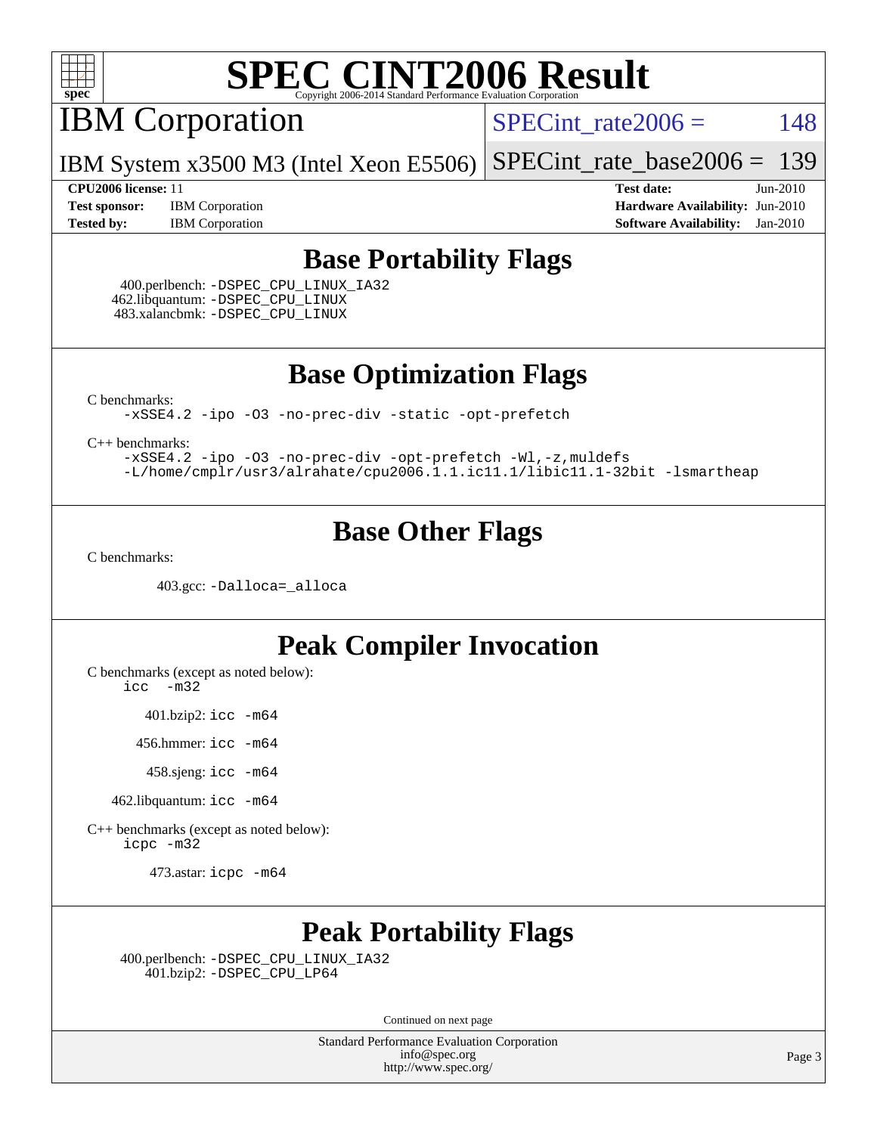

IBM Corporation

 $SPECTnt_rate2006 = 148$ 

IBM System x3500 M3 (Intel Xeon E5506) [SPECint\\_rate\\_base2006 =](http://www.spec.org/auto/cpu2006/Docs/result-fields.html#SPECintratebase2006) 139

**[Test sponsor:](http://www.spec.org/auto/cpu2006/Docs/result-fields.html#Testsponsor)** IBM Corporation **[Hardware Availability:](http://www.spec.org/auto/cpu2006/Docs/result-fields.html#HardwareAvailability)** Jun-2010 **[Tested by:](http://www.spec.org/auto/cpu2006/Docs/result-fields.html#Testedby)** IBM Corporation **[Software Availability:](http://www.spec.org/auto/cpu2006/Docs/result-fields.html#SoftwareAvailability)** Jan-2010

**[CPU2006 license:](http://www.spec.org/auto/cpu2006/Docs/result-fields.html#CPU2006license)** 11 **[Test date:](http://www.spec.org/auto/cpu2006/Docs/result-fields.html#Testdate)** Jun-2010

#### **[Base Portability Flags](http://www.spec.org/auto/cpu2006/Docs/result-fields.html#BasePortabilityFlags)**

 400.perlbench: [-DSPEC\\_CPU\\_LINUX\\_IA32](http://www.spec.org/cpu2006/results/res2010q3/cpu2006-20100621-11814.flags.html#b400.perlbench_baseCPORTABILITY_DSPEC_CPU_LINUX_IA32) 462.libquantum: [-DSPEC\\_CPU\\_LINUX](http://www.spec.org/cpu2006/results/res2010q3/cpu2006-20100621-11814.flags.html#b462.libquantum_baseCPORTABILITY_DSPEC_CPU_LINUX) 483.xalancbmk: [-DSPEC\\_CPU\\_LINUX](http://www.spec.org/cpu2006/results/res2010q3/cpu2006-20100621-11814.flags.html#b483.xalancbmk_baseCXXPORTABILITY_DSPEC_CPU_LINUX)

**[Base Optimization Flags](http://www.spec.org/auto/cpu2006/Docs/result-fields.html#BaseOptimizationFlags)**

[C benchmarks](http://www.spec.org/auto/cpu2006/Docs/result-fields.html#Cbenchmarks):

[-xSSE4.2](http://www.spec.org/cpu2006/results/res2010q3/cpu2006-20100621-11814.flags.html#user_CCbase_f-xSSE42_f91528193cf0b216347adb8b939d4107) [-ipo](http://www.spec.org/cpu2006/results/res2010q3/cpu2006-20100621-11814.flags.html#user_CCbase_f-ipo) [-O3](http://www.spec.org/cpu2006/results/res2010q3/cpu2006-20100621-11814.flags.html#user_CCbase_f-O3) [-no-prec-div](http://www.spec.org/cpu2006/results/res2010q3/cpu2006-20100621-11814.flags.html#user_CCbase_f-no-prec-div) [-static](http://www.spec.org/cpu2006/results/res2010q3/cpu2006-20100621-11814.flags.html#user_CCbase_f-static) [-opt-prefetch](http://www.spec.org/cpu2006/results/res2010q3/cpu2006-20100621-11814.flags.html#user_CCbase_f-opt-prefetch)

[C++ benchmarks:](http://www.spec.org/auto/cpu2006/Docs/result-fields.html#CXXbenchmarks)

[-xSSE4.2](http://www.spec.org/cpu2006/results/res2010q3/cpu2006-20100621-11814.flags.html#user_CXXbase_f-xSSE42_f91528193cf0b216347adb8b939d4107) [-ipo](http://www.spec.org/cpu2006/results/res2010q3/cpu2006-20100621-11814.flags.html#user_CXXbase_f-ipo) [-O3](http://www.spec.org/cpu2006/results/res2010q3/cpu2006-20100621-11814.flags.html#user_CXXbase_f-O3) [-no-prec-div](http://www.spec.org/cpu2006/results/res2010q3/cpu2006-20100621-11814.flags.html#user_CXXbase_f-no-prec-div) [-opt-prefetch](http://www.spec.org/cpu2006/results/res2010q3/cpu2006-20100621-11814.flags.html#user_CXXbase_f-opt-prefetch) [-Wl,-z,muldefs](http://www.spec.org/cpu2006/results/res2010q3/cpu2006-20100621-11814.flags.html#user_CXXbase_link_force_multiple1_74079c344b956b9658436fd1b6dd3a8a) [-L/home/cmplr/usr3/alrahate/cpu2006.1.1.ic11.1/libic11.1-32bit -lsmartheap](http://www.spec.org/cpu2006/results/res2010q3/cpu2006-20100621-11814.flags.html#user_CXXbase_SmartHeap_d86dffe4a79b79ef8890d5cce17030c3)

#### **[Base Other Flags](http://www.spec.org/auto/cpu2006/Docs/result-fields.html#BaseOtherFlags)**

[C benchmarks](http://www.spec.org/auto/cpu2006/Docs/result-fields.html#Cbenchmarks):

403.gcc: [-Dalloca=\\_alloca](http://www.spec.org/cpu2006/results/res2010q3/cpu2006-20100621-11814.flags.html#b403.gcc_baseEXTRA_CFLAGS_Dalloca_be3056838c12de2578596ca5467af7f3)

#### **[Peak Compiler Invocation](http://www.spec.org/auto/cpu2006/Docs/result-fields.html#PeakCompilerInvocation)**

[C benchmarks \(except as noted below\)](http://www.spec.org/auto/cpu2006/Docs/result-fields.html#Cbenchmarksexceptasnotedbelow):

[icc -m32](http://www.spec.org/cpu2006/results/res2010q3/cpu2006-20100621-11814.flags.html#user_CCpeak_intel_icc_32bit_5ff4a39e364c98233615fdd38438c6f2)

401.bzip2: [icc -m64](http://www.spec.org/cpu2006/results/res2010q3/cpu2006-20100621-11814.flags.html#user_peakCCLD401_bzip2_intel_icc_64bit_bda6cc9af1fdbb0edc3795bac97ada53)

456.hmmer: [icc -m64](http://www.spec.org/cpu2006/results/res2010q3/cpu2006-20100621-11814.flags.html#user_peakCCLD456_hmmer_intel_icc_64bit_bda6cc9af1fdbb0edc3795bac97ada53)

458.sjeng: [icc -m64](http://www.spec.org/cpu2006/results/res2010q3/cpu2006-20100621-11814.flags.html#user_peakCCLD458_sjeng_intel_icc_64bit_bda6cc9af1fdbb0edc3795bac97ada53)

462.libquantum: [icc -m64](http://www.spec.org/cpu2006/results/res2010q3/cpu2006-20100621-11814.flags.html#user_peakCCLD462_libquantum_intel_icc_64bit_bda6cc9af1fdbb0edc3795bac97ada53)

[C++ benchmarks \(except as noted below\):](http://www.spec.org/auto/cpu2006/Docs/result-fields.html#CXXbenchmarksexceptasnotedbelow) [icpc -m32](http://www.spec.org/cpu2006/results/res2010q3/cpu2006-20100621-11814.flags.html#user_CXXpeak_intel_icpc_32bit_4e5a5ef1a53fd332b3c49e69c3330699)

473.astar: [icpc -m64](http://www.spec.org/cpu2006/results/res2010q3/cpu2006-20100621-11814.flags.html#user_peakCXXLD473_astar_intel_icpc_64bit_fc66a5337ce925472a5c54ad6a0de310)

### **[Peak Portability Flags](http://www.spec.org/auto/cpu2006/Docs/result-fields.html#PeakPortabilityFlags)**

 400.perlbench: [-DSPEC\\_CPU\\_LINUX\\_IA32](http://www.spec.org/cpu2006/results/res2010q3/cpu2006-20100621-11814.flags.html#b400.perlbench_peakCPORTABILITY_DSPEC_CPU_LINUX_IA32) 401.bzip2: [-DSPEC\\_CPU\\_LP64](http://www.spec.org/cpu2006/results/res2010q3/cpu2006-20100621-11814.flags.html#suite_peakCPORTABILITY401_bzip2_DSPEC_CPU_LP64)

Continued on next page

Standard Performance Evaluation Corporation [info@spec.org](mailto:info@spec.org) <http://www.spec.org/>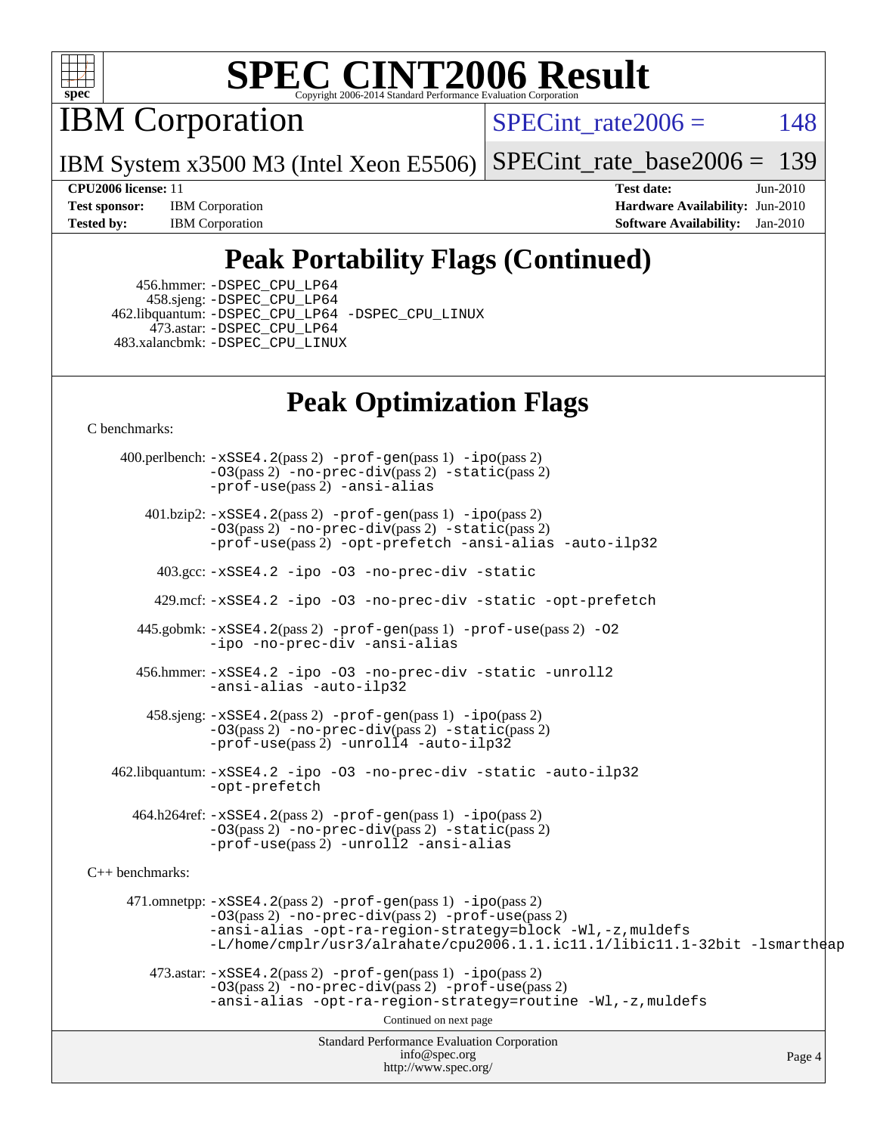

IBM Corporation

SPECint rate $2006 = 148$ 

IBM System x3500 M3 (Intel Xeon E5506) [SPECint\\_rate\\_base2006 =](http://www.spec.org/auto/cpu2006/Docs/result-fields.html#SPECintratebase2006) 139

**[Test sponsor:](http://www.spec.org/auto/cpu2006/Docs/result-fields.html#Testsponsor)** IBM Corporation **[Hardware Availability:](http://www.spec.org/auto/cpu2006/Docs/result-fields.html#HardwareAvailability)** Jun-2010 **[Tested by:](http://www.spec.org/auto/cpu2006/Docs/result-fields.html#Testedby)** IBM Corporation **[Software Availability:](http://www.spec.org/auto/cpu2006/Docs/result-fields.html#SoftwareAvailability)** Jan-2010

**[CPU2006 license:](http://www.spec.org/auto/cpu2006/Docs/result-fields.html#CPU2006license)** 11 **[Test date:](http://www.spec.org/auto/cpu2006/Docs/result-fields.html#Testdate)** Jun-2010

### **[Peak Portability Flags \(Continued\)](http://www.spec.org/auto/cpu2006/Docs/result-fields.html#PeakPortabilityFlags)**

 456.hmmer: [-DSPEC\\_CPU\\_LP64](http://www.spec.org/cpu2006/results/res2010q3/cpu2006-20100621-11814.flags.html#suite_peakCPORTABILITY456_hmmer_DSPEC_CPU_LP64) 458.sjeng: [-DSPEC\\_CPU\\_LP64](http://www.spec.org/cpu2006/results/res2010q3/cpu2006-20100621-11814.flags.html#suite_peakCPORTABILITY458_sjeng_DSPEC_CPU_LP64) 462.libquantum: [-DSPEC\\_CPU\\_LP64](http://www.spec.org/cpu2006/results/res2010q3/cpu2006-20100621-11814.flags.html#suite_peakCPORTABILITY462_libquantum_DSPEC_CPU_LP64) [-DSPEC\\_CPU\\_LINUX](http://www.spec.org/cpu2006/results/res2010q3/cpu2006-20100621-11814.flags.html#b462.libquantum_peakCPORTABILITY_DSPEC_CPU_LINUX) 473.astar: [-DSPEC\\_CPU\\_LP64](http://www.spec.org/cpu2006/results/res2010q3/cpu2006-20100621-11814.flags.html#suite_peakCXXPORTABILITY473_astar_DSPEC_CPU_LP64) 483.xalancbmk: [-DSPEC\\_CPU\\_LINUX](http://www.spec.org/cpu2006/results/res2010q3/cpu2006-20100621-11814.flags.html#b483.xalancbmk_peakCXXPORTABILITY_DSPEC_CPU_LINUX)

### **[Peak Optimization Flags](http://www.spec.org/auto/cpu2006/Docs/result-fields.html#PeakOptimizationFlags)**

[C benchmarks](http://www.spec.org/auto/cpu2006/Docs/result-fields.html#Cbenchmarks):

Standard Performance Evaluation Corporation [info@spec.org](mailto:info@spec.org) <http://www.spec.org/> Page 4 400.perlbench: [-xSSE4.2](http://www.spec.org/cpu2006/results/res2010q3/cpu2006-20100621-11814.flags.html#user_peakPASS2_CFLAGSPASS2_LDCFLAGS400_perlbench_f-xSSE42_f91528193cf0b216347adb8b939d4107)(pass 2) [-prof-gen](http://www.spec.org/cpu2006/results/res2010q3/cpu2006-20100621-11814.flags.html#user_peakPASS1_CFLAGSPASS1_LDCFLAGS400_perlbench_prof_gen_e43856698f6ca7b7e442dfd80e94a8fc)(pass 1) [-ipo](http://www.spec.org/cpu2006/results/res2010q3/cpu2006-20100621-11814.flags.html#user_peakPASS2_CFLAGSPASS2_LDCFLAGS400_perlbench_f-ipo)(pass 2) [-O3](http://www.spec.org/cpu2006/results/res2010q3/cpu2006-20100621-11814.flags.html#user_peakPASS2_CFLAGSPASS2_LDCFLAGS400_perlbench_f-O3)(pass 2) [-no-prec-div](http://www.spec.org/cpu2006/results/res2010q3/cpu2006-20100621-11814.flags.html#user_peakPASS2_CFLAGSPASS2_LDCFLAGS400_perlbench_f-no-prec-div)(pass 2) [-static](http://www.spec.org/cpu2006/results/res2010q3/cpu2006-20100621-11814.flags.html#user_peakPASS2_CFLAGSPASS2_LDCFLAGS400_perlbench_f-static)(pass 2) [-prof-use](http://www.spec.org/cpu2006/results/res2010q3/cpu2006-20100621-11814.flags.html#user_peakPASS2_CFLAGSPASS2_LDCFLAGS400_perlbench_prof_use_bccf7792157ff70d64e32fe3e1250b55)(pass 2) [-ansi-alias](http://www.spec.org/cpu2006/results/res2010q3/cpu2006-20100621-11814.flags.html#user_peakCOPTIMIZE400_perlbench_f-ansi-alias) 401.bzip2: [-xSSE4.2](http://www.spec.org/cpu2006/results/res2010q3/cpu2006-20100621-11814.flags.html#user_peakPASS2_CFLAGSPASS2_LDCFLAGS401_bzip2_f-xSSE42_f91528193cf0b216347adb8b939d4107)(pass 2) [-prof-gen](http://www.spec.org/cpu2006/results/res2010q3/cpu2006-20100621-11814.flags.html#user_peakPASS1_CFLAGSPASS1_LDCFLAGS401_bzip2_prof_gen_e43856698f6ca7b7e442dfd80e94a8fc)(pass 1) [-ipo](http://www.spec.org/cpu2006/results/res2010q3/cpu2006-20100621-11814.flags.html#user_peakPASS2_CFLAGSPASS2_LDCFLAGS401_bzip2_f-ipo)(pass 2) [-O3](http://www.spec.org/cpu2006/results/res2010q3/cpu2006-20100621-11814.flags.html#user_peakPASS2_CFLAGSPASS2_LDCFLAGS401_bzip2_f-O3)(pass 2) [-no-prec-div](http://www.spec.org/cpu2006/results/res2010q3/cpu2006-20100621-11814.flags.html#user_peakPASS2_CFLAGSPASS2_LDCFLAGS401_bzip2_f-no-prec-div)(pass 2) [-static](http://www.spec.org/cpu2006/results/res2010q3/cpu2006-20100621-11814.flags.html#user_peakPASS2_CFLAGSPASS2_LDCFLAGS401_bzip2_f-static)(pass 2) [-prof-use](http://www.spec.org/cpu2006/results/res2010q3/cpu2006-20100621-11814.flags.html#user_peakPASS2_CFLAGSPASS2_LDCFLAGS401_bzip2_prof_use_bccf7792157ff70d64e32fe3e1250b55)(pass 2) [-opt-prefetch](http://www.spec.org/cpu2006/results/res2010q3/cpu2006-20100621-11814.flags.html#user_peakCOPTIMIZE401_bzip2_f-opt-prefetch) [-ansi-alias](http://www.spec.org/cpu2006/results/res2010q3/cpu2006-20100621-11814.flags.html#user_peakCOPTIMIZE401_bzip2_f-ansi-alias) [-auto-ilp32](http://www.spec.org/cpu2006/results/res2010q3/cpu2006-20100621-11814.flags.html#user_peakCOPTIMIZE401_bzip2_f-auto-ilp32) 403.gcc: [-xSSE4.2](http://www.spec.org/cpu2006/results/res2010q3/cpu2006-20100621-11814.flags.html#user_peakCOPTIMIZE403_gcc_f-xSSE42_f91528193cf0b216347adb8b939d4107) [-ipo](http://www.spec.org/cpu2006/results/res2010q3/cpu2006-20100621-11814.flags.html#user_peakCOPTIMIZE403_gcc_f-ipo) [-O3](http://www.spec.org/cpu2006/results/res2010q3/cpu2006-20100621-11814.flags.html#user_peakCOPTIMIZE403_gcc_f-O3) [-no-prec-div](http://www.spec.org/cpu2006/results/res2010q3/cpu2006-20100621-11814.flags.html#user_peakCOPTIMIZE403_gcc_f-no-prec-div) [-static](http://www.spec.org/cpu2006/results/res2010q3/cpu2006-20100621-11814.flags.html#user_peakCOPTIMIZE403_gcc_f-static) 429.mcf: [-xSSE4.2](http://www.spec.org/cpu2006/results/res2010q3/cpu2006-20100621-11814.flags.html#user_peakCOPTIMIZE429_mcf_f-xSSE42_f91528193cf0b216347adb8b939d4107) [-ipo](http://www.spec.org/cpu2006/results/res2010q3/cpu2006-20100621-11814.flags.html#user_peakCOPTIMIZE429_mcf_f-ipo) [-O3](http://www.spec.org/cpu2006/results/res2010q3/cpu2006-20100621-11814.flags.html#user_peakCOPTIMIZE429_mcf_f-O3) [-no-prec-div](http://www.spec.org/cpu2006/results/res2010q3/cpu2006-20100621-11814.flags.html#user_peakCOPTIMIZE429_mcf_f-no-prec-div) [-static](http://www.spec.org/cpu2006/results/res2010q3/cpu2006-20100621-11814.flags.html#user_peakCOPTIMIZE429_mcf_f-static) [-opt-prefetch](http://www.spec.org/cpu2006/results/res2010q3/cpu2006-20100621-11814.flags.html#user_peakCOPTIMIZE429_mcf_f-opt-prefetch) 445.gobmk: [-xSSE4.2](http://www.spec.org/cpu2006/results/res2010q3/cpu2006-20100621-11814.flags.html#user_peakPASS2_CFLAGSPASS2_LDCFLAGS445_gobmk_f-xSSE42_f91528193cf0b216347adb8b939d4107)(pass 2) [-prof-gen](http://www.spec.org/cpu2006/results/res2010q3/cpu2006-20100621-11814.flags.html#user_peakPASS1_CFLAGSPASS1_LDCFLAGS445_gobmk_prof_gen_e43856698f6ca7b7e442dfd80e94a8fc)(pass 1) [-prof-use](http://www.spec.org/cpu2006/results/res2010q3/cpu2006-20100621-11814.flags.html#user_peakPASS2_CFLAGSPASS2_LDCFLAGS445_gobmk_prof_use_bccf7792157ff70d64e32fe3e1250b55)(pass 2) [-O2](http://www.spec.org/cpu2006/results/res2010q3/cpu2006-20100621-11814.flags.html#user_peakCOPTIMIZE445_gobmk_f-O2) [-ipo](http://www.spec.org/cpu2006/results/res2010q3/cpu2006-20100621-11814.flags.html#user_peakCOPTIMIZE445_gobmk_f-ipo) [-no-prec-div](http://www.spec.org/cpu2006/results/res2010q3/cpu2006-20100621-11814.flags.html#user_peakCOPTIMIZE445_gobmk_f-no-prec-div) [-ansi-alias](http://www.spec.org/cpu2006/results/res2010q3/cpu2006-20100621-11814.flags.html#user_peakCOPTIMIZE445_gobmk_f-ansi-alias) 456.hmmer: [-xSSE4.2](http://www.spec.org/cpu2006/results/res2010q3/cpu2006-20100621-11814.flags.html#user_peakCOPTIMIZE456_hmmer_f-xSSE42_f91528193cf0b216347adb8b939d4107) [-ipo](http://www.spec.org/cpu2006/results/res2010q3/cpu2006-20100621-11814.flags.html#user_peakCOPTIMIZE456_hmmer_f-ipo) [-O3](http://www.spec.org/cpu2006/results/res2010q3/cpu2006-20100621-11814.flags.html#user_peakCOPTIMIZE456_hmmer_f-O3) [-no-prec-div](http://www.spec.org/cpu2006/results/res2010q3/cpu2006-20100621-11814.flags.html#user_peakCOPTIMIZE456_hmmer_f-no-prec-div) [-static](http://www.spec.org/cpu2006/results/res2010q3/cpu2006-20100621-11814.flags.html#user_peakCOPTIMIZE456_hmmer_f-static) [-unroll2](http://www.spec.org/cpu2006/results/res2010q3/cpu2006-20100621-11814.flags.html#user_peakCOPTIMIZE456_hmmer_f-unroll_784dae83bebfb236979b41d2422d7ec2) [-ansi-alias](http://www.spec.org/cpu2006/results/res2010q3/cpu2006-20100621-11814.flags.html#user_peakCOPTIMIZE456_hmmer_f-ansi-alias) [-auto-ilp32](http://www.spec.org/cpu2006/results/res2010q3/cpu2006-20100621-11814.flags.html#user_peakCOPTIMIZE456_hmmer_f-auto-ilp32) 458.sjeng: [-xSSE4.2](http://www.spec.org/cpu2006/results/res2010q3/cpu2006-20100621-11814.flags.html#user_peakPASS2_CFLAGSPASS2_LDCFLAGS458_sjeng_f-xSSE42_f91528193cf0b216347adb8b939d4107)(pass 2) [-prof-gen](http://www.spec.org/cpu2006/results/res2010q3/cpu2006-20100621-11814.flags.html#user_peakPASS1_CFLAGSPASS1_LDCFLAGS458_sjeng_prof_gen_e43856698f6ca7b7e442dfd80e94a8fc)(pass 1) [-ipo](http://www.spec.org/cpu2006/results/res2010q3/cpu2006-20100621-11814.flags.html#user_peakPASS2_CFLAGSPASS2_LDCFLAGS458_sjeng_f-ipo)(pass 2) [-O3](http://www.spec.org/cpu2006/results/res2010q3/cpu2006-20100621-11814.flags.html#user_peakPASS2_CFLAGSPASS2_LDCFLAGS458_sjeng_f-O3)(pass 2) [-no-prec-div](http://www.spec.org/cpu2006/results/res2010q3/cpu2006-20100621-11814.flags.html#user_peakPASS2_CFLAGSPASS2_LDCFLAGS458_sjeng_f-no-prec-div)(pass 2) [-static](http://www.spec.org/cpu2006/results/res2010q3/cpu2006-20100621-11814.flags.html#user_peakPASS2_CFLAGSPASS2_LDCFLAGS458_sjeng_f-static)(pass 2) [-prof-use](http://www.spec.org/cpu2006/results/res2010q3/cpu2006-20100621-11814.flags.html#user_peakPASS2_CFLAGSPASS2_LDCFLAGS458_sjeng_prof_use_bccf7792157ff70d64e32fe3e1250b55)(pass 2) [-unroll4](http://www.spec.org/cpu2006/results/res2010q3/cpu2006-20100621-11814.flags.html#user_peakCOPTIMIZE458_sjeng_f-unroll_4e5e4ed65b7fd20bdcd365bec371b81f) [-auto-ilp32](http://www.spec.org/cpu2006/results/res2010q3/cpu2006-20100621-11814.flags.html#user_peakCOPTIMIZE458_sjeng_f-auto-ilp32) 462.libquantum: [-xSSE4.2](http://www.spec.org/cpu2006/results/res2010q3/cpu2006-20100621-11814.flags.html#user_peakCOPTIMIZE462_libquantum_f-xSSE42_f91528193cf0b216347adb8b939d4107) [-ipo](http://www.spec.org/cpu2006/results/res2010q3/cpu2006-20100621-11814.flags.html#user_peakCOPTIMIZE462_libquantum_f-ipo) [-O3](http://www.spec.org/cpu2006/results/res2010q3/cpu2006-20100621-11814.flags.html#user_peakCOPTIMIZE462_libquantum_f-O3) [-no-prec-div](http://www.spec.org/cpu2006/results/res2010q3/cpu2006-20100621-11814.flags.html#user_peakCOPTIMIZE462_libquantum_f-no-prec-div) [-static](http://www.spec.org/cpu2006/results/res2010q3/cpu2006-20100621-11814.flags.html#user_peakCOPTIMIZE462_libquantum_f-static) [-auto-ilp32](http://www.spec.org/cpu2006/results/res2010q3/cpu2006-20100621-11814.flags.html#user_peakCOPTIMIZE462_libquantum_f-auto-ilp32) [-opt-prefetch](http://www.spec.org/cpu2006/results/res2010q3/cpu2006-20100621-11814.flags.html#user_peakCOPTIMIZE462_libquantum_f-opt-prefetch) 464.h264ref: [-xSSE4.2](http://www.spec.org/cpu2006/results/res2010q3/cpu2006-20100621-11814.flags.html#user_peakPASS2_CFLAGSPASS2_LDCFLAGS464_h264ref_f-xSSE42_f91528193cf0b216347adb8b939d4107)(pass 2) [-prof-gen](http://www.spec.org/cpu2006/results/res2010q3/cpu2006-20100621-11814.flags.html#user_peakPASS1_CFLAGSPASS1_LDCFLAGS464_h264ref_prof_gen_e43856698f6ca7b7e442dfd80e94a8fc)(pass 1) [-ipo](http://www.spec.org/cpu2006/results/res2010q3/cpu2006-20100621-11814.flags.html#user_peakPASS2_CFLAGSPASS2_LDCFLAGS464_h264ref_f-ipo)(pass 2) [-O3](http://www.spec.org/cpu2006/results/res2010q3/cpu2006-20100621-11814.flags.html#user_peakPASS2_CFLAGSPASS2_LDCFLAGS464_h264ref_f-O3)(pass 2) [-no-prec-div](http://www.spec.org/cpu2006/results/res2010q3/cpu2006-20100621-11814.flags.html#user_peakPASS2_CFLAGSPASS2_LDCFLAGS464_h264ref_f-no-prec-div)(pass 2) [-static](http://www.spec.org/cpu2006/results/res2010q3/cpu2006-20100621-11814.flags.html#user_peakPASS2_CFLAGSPASS2_LDCFLAGS464_h264ref_f-static)(pass 2) [-prof-use](http://www.spec.org/cpu2006/results/res2010q3/cpu2006-20100621-11814.flags.html#user_peakPASS2_CFLAGSPASS2_LDCFLAGS464_h264ref_prof_use_bccf7792157ff70d64e32fe3e1250b55)(pass 2) [-unroll2](http://www.spec.org/cpu2006/results/res2010q3/cpu2006-20100621-11814.flags.html#user_peakCOPTIMIZE464_h264ref_f-unroll_784dae83bebfb236979b41d2422d7ec2) [-ansi-alias](http://www.spec.org/cpu2006/results/res2010q3/cpu2006-20100621-11814.flags.html#user_peakCOPTIMIZE464_h264ref_f-ansi-alias) [C++ benchmarks:](http://www.spec.org/auto/cpu2006/Docs/result-fields.html#CXXbenchmarks) 471.omnetpp: [-xSSE4.2](http://www.spec.org/cpu2006/results/res2010q3/cpu2006-20100621-11814.flags.html#user_peakPASS2_CXXFLAGSPASS2_LDCXXFLAGS471_omnetpp_f-xSSE42_f91528193cf0b216347adb8b939d4107)(pass 2) [-prof-gen](http://www.spec.org/cpu2006/results/res2010q3/cpu2006-20100621-11814.flags.html#user_peakPASS1_CXXFLAGSPASS1_LDCXXFLAGS471_omnetpp_prof_gen_e43856698f6ca7b7e442dfd80e94a8fc)(pass 1) [-ipo](http://www.spec.org/cpu2006/results/res2010q3/cpu2006-20100621-11814.flags.html#user_peakPASS2_CXXFLAGSPASS2_LDCXXFLAGS471_omnetpp_f-ipo)(pass 2) [-O3](http://www.spec.org/cpu2006/results/res2010q3/cpu2006-20100621-11814.flags.html#user_peakPASS2_CXXFLAGSPASS2_LDCXXFLAGS471_omnetpp_f-O3)(pass 2) [-no-prec-div](http://www.spec.org/cpu2006/results/res2010q3/cpu2006-20100621-11814.flags.html#user_peakPASS2_CXXFLAGSPASS2_LDCXXFLAGS471_omnetpp_f-no-prec-div)(pass 2) [-prof-use](http://www.spec.org/cpu2006/results/res2010q3/cpu2006-20100621-11814.flags.html#user_peakPASS2_CXXFLAGSPASS2_LDCXXFLAGS471_omnetpp_prof_use_bccf7792157ff70d64e32fe3e1250b55)(pass 2) [-ansi-alias](http://www.spec.org/cpu2006/results/res2010q3/cpu2006-20100621-11814.flags.html#user_peakCXXOPTIMIZE471_omnetpp_f-ansi-alias) [-opt-ra-region-strategy=block](http://www.spec.org/cpu2006/results/res2010q3/cpu2006-20100621-11814.flags.html#user_peakCXXOPTIMIZE471_omnetpp_f-opt-ra-region-strategy-block_a0a37c372d03933b2a18d4af463c1f69) [-Wl,-z,muldefs](http://www.spec.org/cpu2006/results/res2010q3/cpu2006-20100621-11814.flags.html#user_peakEXTRA_LDFLAGS471_omnetpp_link_force_multiple1_74079c344b956b9658436fd1b6dd3a8a) [-L/home/cmplr/usr3/alrahate/cpu2006.1.1.ic11.1/libic11.1-32bit -lsmartheap](http://www.spec.org/cpu2006/results/res2010q3/cpu2006-20100621-11814.flags.html#user_peakEXTRA_LIBS471_omnetpp_SmartHeap_d86dffe4a79b79ef8890d5cce17030c3)  $473.\text{astar: } -xSSE4$ .  $2(\text{pass 2})$   $-\text{prof-gen}(\text{pass 1})$   $-i\text{po}(\text{pass 2})$ [-O3](http://www.spec.org/cpu2006/results/res2010q3/cpu2006-20100621-11814.flags.html#user_peakPASS2_CXXFLAGSPASS2_LDCXXFLAGS473_astar_f-O3)(pass 2) [-no-prec-div](http://www.spec.org/cpu2006/results/res2010q3/cpu2006-20100621-11814.flags.html#user_peakPASS2_CXXFLAGSPASS2_LDCXXFLAGS473_astar_f-no-prec-div)(pass 2) [-prof-use](http://www.spec.org/cpu2006/results/res2010q3/cpu2006-20100621-11814.flags.html#user_peakPASS2_CXXFLAGSPASS2_LDCXXFLAGS473_astar_prof_use_bccf7792157ff70d64e32fe3e1250b55)(pass 2) [-ansi-alias](http://www.spec.org/cpu2006/results/res2010q3/cpu2006-20100621-11814.flags.html#user_peakCXXOPTIMIZE473_astar_f-ansi-alias) [-opt-ra-region-strategy=routine](http://www.spec.org/cpu2006/results/res2010q3/cpu2006-20100621-11814.flags.html#user_peakCXXOPTIMIZE473_astar_f-opt-ra-region-strategy-routine_ba086ea3b1d46a52e1238e2ca173ed44) [-Wl,-z,muldefs](http://www.spec.org/cpu2006/results/res2010q3/cpu2006-20100621-11814.flags.html#user_peakEXTRA_LDFLAGS473_astar_link_force_multiple1_74079c344b956b9658436fd1b6dd3a8a) Continued on next page